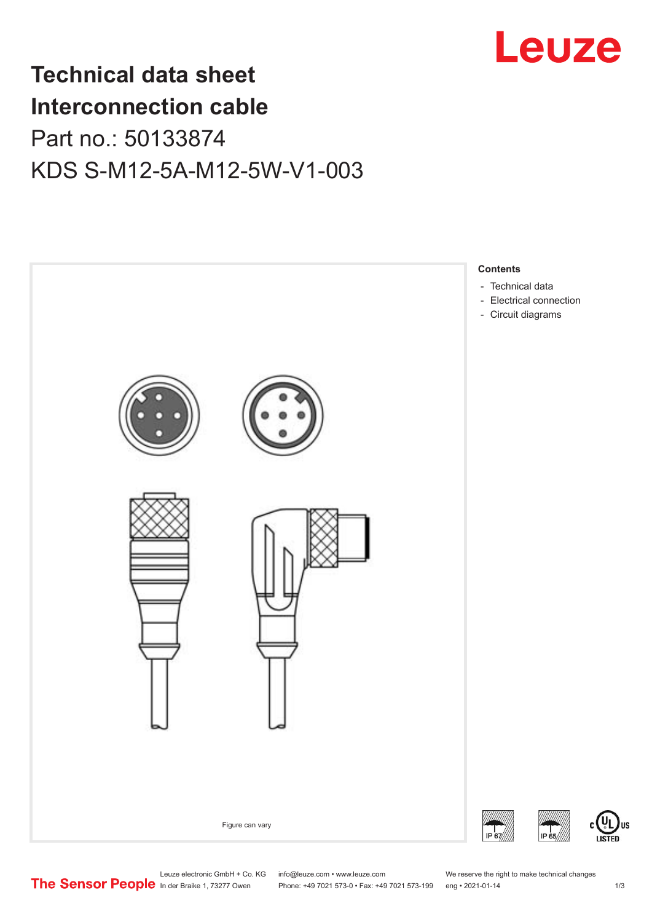

# **Technical data sheet Interconnection cable** Part no.: 50133874 KDS S-M12-5A-M12-5W-V1-003



Leuze electronic GmbH + Co. KG info@leuze.com • www.leuze.com We reserve the right to make technical changes<br>
The Sensor People in der Braike 1, 73277 Owen Phone: +49 7021 573-0 • Fax: +49 7021 573-199 eng • 2021-01-14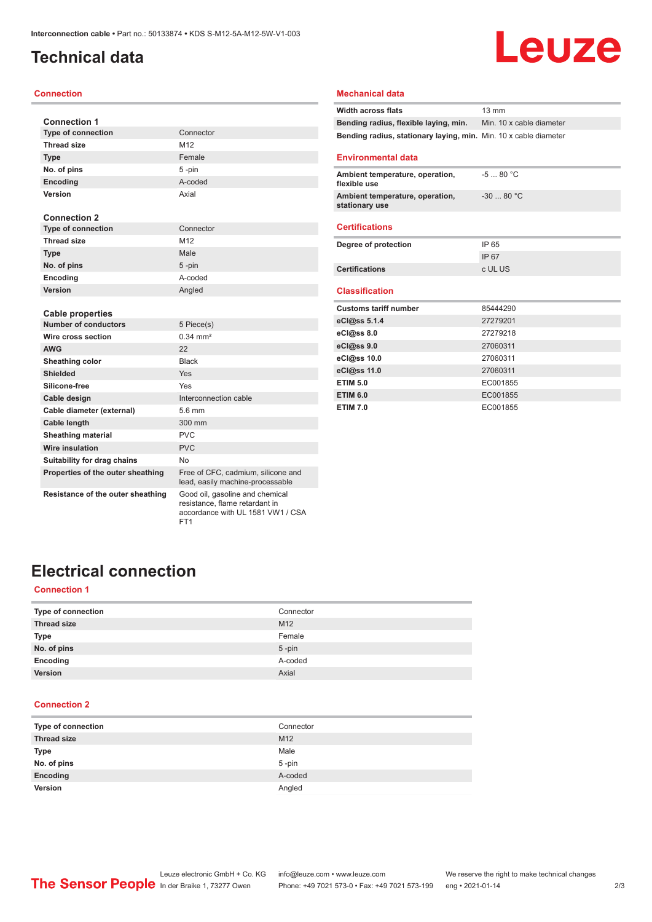### <span id="page-1-0"></span>**Technical data**

#### **Connection**

| <b>Connection 1</b>               |                                                                        |
|-----------------------------------|------------------------------------------------------------------------|
| <b>Type of connection</b>         | Connector                                                              |
| <b>Thread size</b>                | M12                                                                    |
| <b>Type</b>                       | Female                                                                 |
| No. of pins                       | 5-pin                                                                  |
| Encoding                          | A-coded                                                                |
| Version                           | Axial                                                                  |
|                                   |                                                                        |
| <b>Connection 2</b>               |                                                                        |
| <b>Type of connection</b>         | Connector                                                              |
| <b>Thread size</b>                | M12                                                                    |
| <b>Type</b>                       | Male                                                                   |
| No. of pins                       | 5-pin                                                                  |
| Encoding                          | A-coded                                                                |
| Version                           | Angled                                                                 |
|                                   |                                                                        |
| <b>Cable properties</b>           |                                                                        |
| <b>Number of conductors</b>       | 5 Piece(s)                                                             |
| Wire cross section                | $0.34 \, \text{mm}^2$                                                  |
| <b>AWG</b>                        | 22                                                                     |
| Sheathing color                   | <b>Black</b>                                                           |
| <b>Shielded</b>                   | Yes                                                                    |
| Silicone-free                     | Yes                                                                    |
| Cable design                      | Interconnection cable                                                  |
| Cable diameter (external)         | $5.6 \text{ mm}$                                                       |
| Cable length                      | 300 mm                                                                 |
| <b>Sheathing material</b>         | <b>PVC</b>                                                             |
| <b>Wire insulation</b>            | <b>PVC</b>                                                             |
| Suitability for drag chains       | No.                                                                    |
| Properties of the outer sheathing | Free of CFC, cadmium, silicone and<br>lead, easily machine-processable |

**Mechanical data**

| <b>Width across flats</b>                                        | 13 mm                    |
|------------------------------------------------------------------|--------------------------|
| Bending radius, flexible laying, min.                            | Min. 10 x cable diameter |
| Bending radius, stationary laying, min. Min. 10 x cable diameter |                          |
| <b>Environmental data</b>                                        |                          |
| Ambient temperature, operation,<br>flexible use                  | $-580 °C$                |
| Ambient temperature, operation,<br>stationary use                | $-3080 °C$               |
| <b>Certifications</b>                                            |                          |
| Degree of protection                                             | IP 65                    |
|                                                                  | <b>IP67</b>              |
| <b>Certifications</b>                                            | c UL US                  |
| <b>Classification</b>                                            |                          |
| <b>Customs tariff number</b>                                     | 85444290                 |
| eCl@ss 5.1.4                                                     | 27279201                 |
| eCl@ss 8.0                                                       | 27279218                 |
| eCl@ss 9.0                                                       | 27060311                 |
| eCl@ss 10.0                                                      | 27060311                 |
| eCl@ss 11.0                                                      | 27060311                 |
| <b>ETIM 5.0</b>                                                  | EC001855                 |
| <b>ETIM 6.0</b>                                                  | EC001855                 |
| <b>ETIM 7.0</b>                                                  | EC001855                 |

Leuze

### **Resistance of the outer sheathing** Good oil, gasoline and chemical

resistance, flame retardant in accordance with UL 1581 VW1 / CSA FT1

## **Electrical connection**

#### **Connection 1**

| Type of connection | Connector |
|--------------------|-----------|
| <b>Thread size</b> | M12       |
| Type               | Female    |
| No. of pins        | $5$ -pin  |
| Encoding           | A-coded   |
| Version            | Axial     |
|                    |           |

#### **Connection 2**

| Type of connection | Connector       |
|--------------------|-----------------|
| <b>Thread size</b> | M <sub>12</sub> |
| <b>Type</b>        | Male            |
| No. of pins        | $5$ -pin        |
| Encoding           | A-coded         |
| Version            | Angled          |